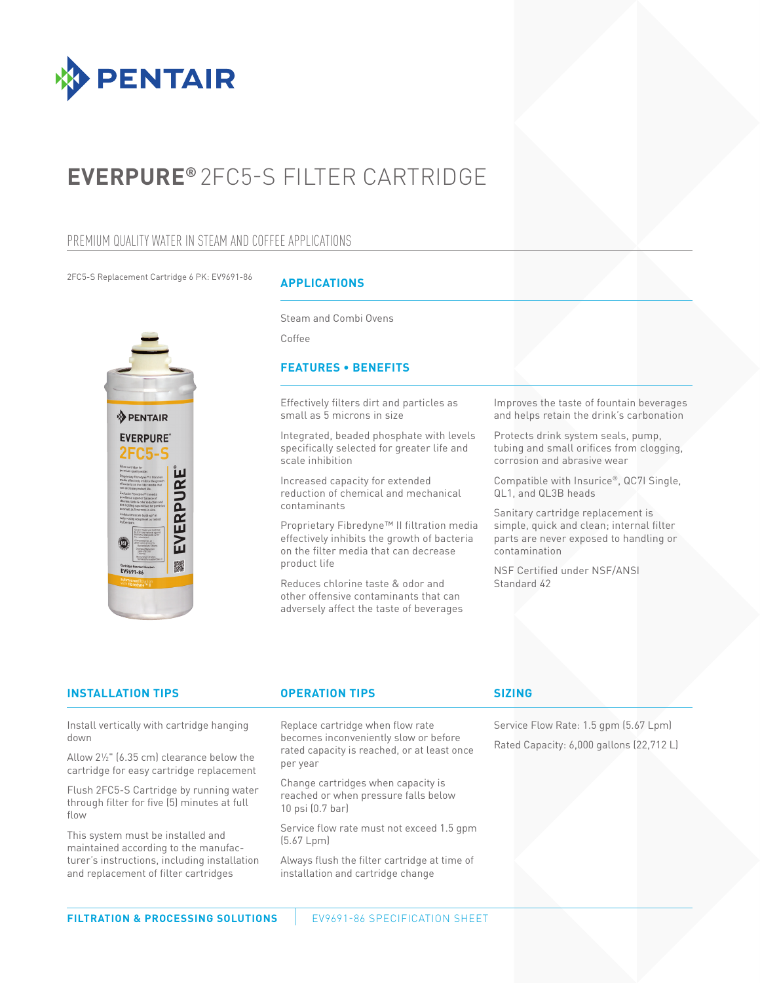

# **EVERPURE®** 2FC5-S FILTER CARTRIDGE

## PREMIUM QUALITY WATER IN STEAM AND COFFEE APPLICATIONS

2FC5-S Replacement Cartridge 6 PK: EV9691-86



## **APPLICATIONS**

Steam and Combi Ovens

Coffee

## **FEATURES • BENEFITS**

Effectively filters dirt and particles as small as 5 microns in size

Integrated, beaded phosphate with levels specifically selected for greater life and scale inhibition

Increased capacity for extended reduction of chemical and mechanical contaminants

Proprietary Fibredyne™ II filtration media effectively inhibits the growth of bacteria on the filter media that can decrease product life

Reduces chlorine taste & odor and other offensive contaminants that can adversely affect the taste of beverages Improves the taste of fountain beverages and helps retain the drink's carbonation

Protects drink system seals, pump, tubing and small orifices from clogging, corrosion and abrasive wear

Compatible with Insurice®, QC7I Single, QL1, and QL3B heads

Sanitary cartridge replacement is simple, quick and clean; internal filter parts are never exposed to handling or contamination

NSF Certified under NSF/ANSI Standard 42

## **INSTALLATION TIPS OPERATION TIPS SIZING**

Install vertically with cartridge hanging down

Allow 21 ⁄2" (6.35 cm) clearance below the cartridge for easy cartridge replacement

Flush 2FC5-S Cartridge by running water through filter for five (5) minutes at full flow

This system must be installed and maintained according to the manufacturer's instructions, including installation and replacement of filter cartridges

Replace cartridge when flow rate becomes inconveniently slow or before rated capacity is reached, or at least once per year

Change cartridges when capacity is reached or when pressure falls below 10 psi (0.7 bar)

Service flow rate must not exceed 1.5 gpm (5.67 Lpm)

Always flush the filter cartridge at time of installation and cartridge change

Service Flow Rate: 1.5 gpm (5.67 Lpm) Rated Capacity: 6,000 gallons (22,712 L)